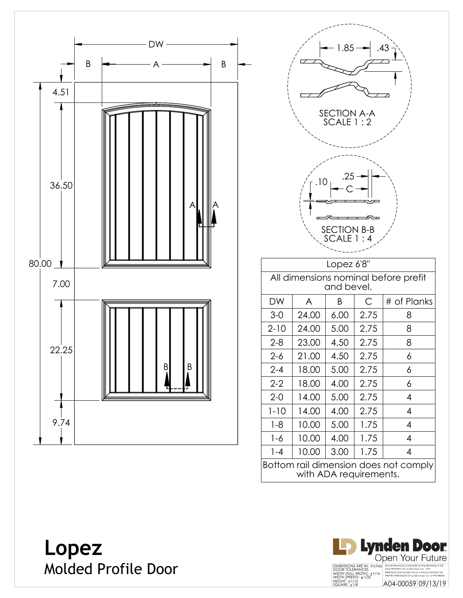





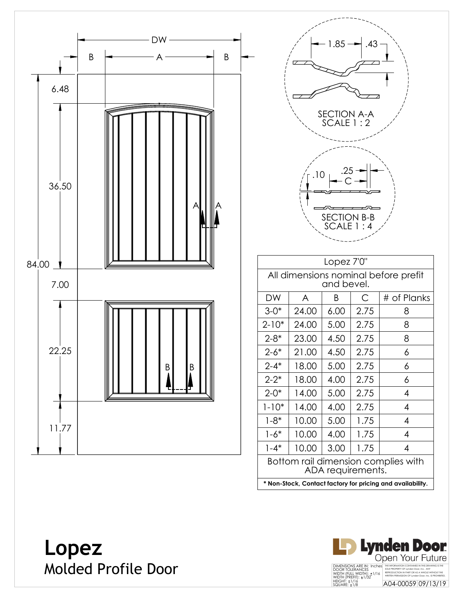





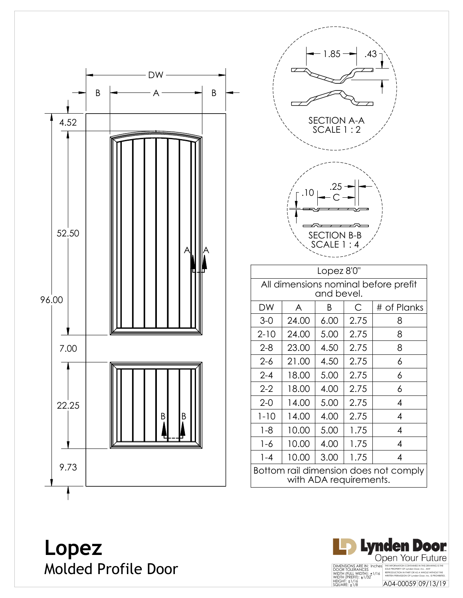



**Lopez** Molded Profile Door

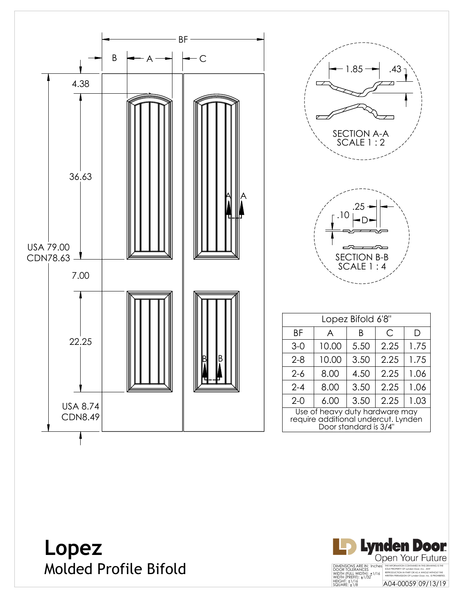

| 1.85<br>.43<br>ঢ়<br>SECTION A-A<br>SCALE 1 : 2<br>25<br>SECTION<br>$B-B$<br>SCALE<br>$\overline{\phantom{a}}$<br>$\cdot$ 4 |       |      |      |      |
|-----------------------------------------------------------------------------------------------------------------------------|-------|------|------|------|
| Lopez Bifold 6'8"                                                                                                           |       |      |      |      |
| ΒF                                                                                                                          | A     | Β    | С    | D    |
| $3-0$                                                                                                                       | 10.00 | 5.50 | 2.25 | 1.75 |
| $2 - 8$                                                                                                                     | 10.00 | 3.50 | 2.25 | 1.75 |
| $2-6$                                                                                                                       | 8.00  | 4.50 | 2.25 | 1.06 |
| $2 - 4$                                                                                                                     | 8.00  | 3.50 | 2.25 | 1.06 |
| 2-0                                                                                                                         | 6.00  | 3.50 | 2.25 | 1.03 |
| Use of heavy duty hardware may<br>require additional undercut. Lynden<br>Door standard is 3/4"                              |       |      |      |      |